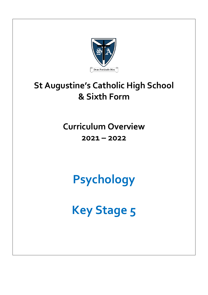

# **St Augustine's Catholic High School & Sixth Form**

## **Curriculum Overview 2021 – 2022**

**Psychology**

**Key Stage 5**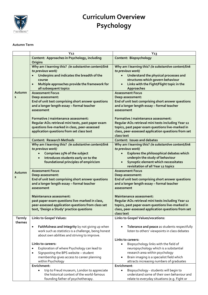

## **Curriculum Overview Psychology**

#### **Autumn Term**

|                                   | Y <sub>12</sub>                                                                                                                                                                                                          | $Y_{13}$                                                                                                                                                                                                                                                   |
|-----------------------------------|--------------------------------------------------------------------------------------------------------------------------------------------------------------------------------------------------------------------------|------------------------------------------------------------------------------------------------------------------------------------------------------------------------------------------------------------------------------------------------------------|
|                                   | Content: Approaches in Psychology, including<br>Origins                                                                                                                                                                  | Content: Biopsychology                                                                                                                                                                                                                                     |
| Autumn<br>$\mathbf{1}$            | Why am I learning this? (ie substantive content/link<br>to previous work)<br>Underpins and indicates the breadth of the<br>course<br>Multiple approaches provide the framework for<br>$\bullet$<br>all subsequent topics | Why am I learning this? (ie substantive content/link<br>to previous work)<br>Understand the physical processes and<br>$\bullet$<br>structures which govern behaviour<br>Links with the Fight/Flight topic in the<br>$\bullet$<br>Approaches                |
|                                   | <b>Assessment Focus</b><br>Deep assessment:<br>End of unit test comprising short answer questions<br>and a longer length essay - formal teacher<br>assessment                                                            | <b>Assessment Focus</b><br>Deep assessment:<br>End of unit test comprising short answer questions<br>and a longer length essay - formal teacher<br>assessment                                                                                              |
|                                   | Formative / maintenance assessment:<br>Regular AO1 retrieval mini tests, past paper exam<br>questions live-marked in class, peer-assessed<br>application questions from set class text                                   | Formative / maintenance assessment:<br>Regular AO1 retrieval mini tests including Year 12<br>topics, past paper exam questions live-marked in<br>class, peer-assessed application questions from set<br>class text                                         |
|                                   | <b>Content: Research Methods</b>                                                                                                                                                                                         | <b>Content: Issues and debates</b>                                                                                                                                                                                                                         |
| Autumn<br>$\overline{\mathbf{2}}$ | Why am I learning this? (ie substantive content/link<br>to previous work)<br>Comprises 25% of the subject<br>Introduces students early on to the<br>foundational principles of empiricism                                | Why am I learning this? (ie substantive content/link<br>to previous work)<br>Explores the philosophical debates which<br>underpin the study of behaviour<br>Synoptic element which necessitates<br>$\bullet$                                               |
|                                   | <b>Assessment Focus</b><br>Deep assessment:<br>End of unit test comprising short answer questions<br>and a longer length essay - formal teacher<br>assessment                                                            | revisitation of all Year 12 topics<br><b>Assessment Focus</b><br>Deep assessment:<br>End of unit test comprising short answer questions<br>and a longer length essay - formal teacher<br>assessment                                                        |
|                                   | Maintenance assessment:<br>past paper exam questions live-marked in class,<br>peer-assessed application questions from class set<br>text, 'Design a Study' practice questions                                            | Maintenance assessment:<br>Regular AO1 retrieval mini tests including Year 12<br>topics, past paper exam questions live-marked in<br>class, peer-assessed application questions from set<br>class text                                                     |
| Termly                            | <b>Links to Gospel Values:</b>                                                                                                                                                                                           | Links to Gospel Values/vocations:                                                                                                                                                                                                                          |
| themes                            | Faithfulness and Integrity by not giving up when<br>$\bullet$<br>work such as statistics is a challenge, being honest<br>about own abilities and striving to improve.                                                    | Tolerance and peace as students respectfully<br>listen to others' viewpoints in class debates                                                                                                                                                              |
|                                   | Links to careers:<br>Exploration of where Psychology can lead to<br>$\bullet$<br>Signposting the BPS website - student<br>$\bullet$<br>membership gives access to career planning<br>within Psychology                   | Links to careers:<br>Biopsychology links with the field of<br>$\bullet$<br>neuropsychology which is a substantial<br>research area within psychology<br>Brain imaging is a specialist field which<br>$\bullet$<br>attracts increasing numbers of graduates |
|                                   | Enrichment:<br>trip to Freud museum, London to appreciate<br>$\bullet$<br>the historical context of the world-famous<br>founding father of psychotherapy.                                                                | Enrichment:<br>Biopsychology - students will begin to<br>$\bullet$<br>understand some of their own behaviour and<br>relate to everyday situations (e.g. Fight or                                                                                           |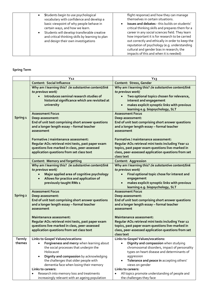| Students begin to use psychological<br>vocabulary with confidence and develop a<br>basic viewpoint of why people behave in<br>certain ways, and how we learn.<br>Students will develop transferable creative<br>and critical thinking skills by learning to plan<br>and design their own investigations | flight response) and how they can manage<br>themselves in certain situations.<br>Issues and debates - this builds on students'<br>critical thinking skills and prepares them for a<br>career in any social sciences field. They learn<br>how important it is for research to be carried<br>out correctly and ethically in order to keep the<br>reputation of psychology (e.g. understanding<br>cultural and gender bias in research; the<br>impacts of this and when it is needed) |
|---------------------------------------------------------------------------------------------------------------------------------------------------------------------------------------------------------------------------------------------------------------------------------------------------------|------------------------------------------------------------------------------------------------------------------------------------------------------------------------------------------------------------------------------------------------------------------------------------------------------------------------------------------------------------------------------------------------------------------------------------------------------------------------------------|
|---------------------------------------------------------------------------------------------------------------------------------------------------------------------------------------------------------------------------------------------------------------------------------------------------------|------------------------------------------------------------------------------------------------------------------------------------------------------------------------------------------------------------------------------------------------------------------------------------------------------------------------------------------------------------------------------------------------------------------------------------------------------------------------------------|

### **Spring Term**

|                     | Y <sub>12</sub>                                                                                          | $Y_{13}$                                                                      |
|---------------------|----------------------------------------------------------------------------------------------------------|-------------------------------------------------------------------------------|
|                     | <b>Content: Social Influence</b>                                                                         | Content: Stress, Gender                                                       |
|                     | Why am I learning this? (ie substantive content/link<br>to previous work)                                | Why am I learning this? (ie substantive content/link<br>to previous work)     |
|                     | Introduces seminal research studies of<br>$\bullet$                                                      | Two optional topics chosen for relevance,                                     |
|                     | historical significance which are revisited at                                                           | interest and engagement<br>makes explicit synoptic links with previous        |
|                     | university                                                                                               | $\bullet$<br>learning e.g. biopsychology, SLT                                 |
|                     | <b>Assessment Focus</b>                                                                                  | <b>Assessment Focus</b>                                                       |
| Spring <sub>1</sub> | Deep assessment:                                                                                         | Deep assessment:                                                              |
|                     | End of unit test comprising short answer questions                                                       | End of unit test comprising short answer questions                            |
|                     | and a longer length essay - formal teacher<br>assessment                                                 | and a longer length essay - formal teacher<br>assessment                      |
|                     |                                                                                                          |                                                                               |
|                     | Formative / maintenance assessment:                                                                      | Formative / maintenance assessment:                                           |
|                     | Regular AO1 retrieval mini tests, past paper exam                                                        | Regular AO1 retrieval mini tests including Year 12                            |
|                     | questions live-marked in class, peer-assessed                                                            | topics, past paper exam questions live-marked in                              |
|                     | application questions from set class text                                                                | class, peer-assessed application questions from set                           |
|                     |                                                                                                          | class text                                                                    |
|                     | <b>Content: Memory and forgetting</b>                                                                    | <b>Content: Aggression</b>                                                    |
|                     | Why am I learning this? (ie substantive content/link                                                     | Why am I learning this? (ie substantive content/link                          |
|                     | to previous work)                                                                                        | to previous work)                                                             |
|                     | Major applied area of cognitive psychology                                                               | Final optional topic chose for interest and                                   |
|                     | Allows for practice and application of<br>previously taught RMs 1                                        | engagement<br>makes explicit synoptic links with previous                     |
|                     |                                                                                                          | learning e.g. biopsychology, SLT                                              |
|                     | <b>Assessment Focus</b>                                                                                  | <b>Assessment Focus</b>                                                       |
| Spring 2            | Deep assessment:                                                                                         | Deep assessment:                                                              |
|                     | End of unit test comprising short answer questions                                                       | End of unit test comprising short answer questions                            |
|                     | and a longer length essay - formal teacher                                                               | and a longer length essay - formal teacher                                    |
|                     | assessment                                                                                               | assessment                                                                    |
|                     |                                                                                                          |                                                                               |
|                     | Maintenance assessment:<br>Regular AO1 retrieval mini tests, past paper exam                             | Maintenance assessment:<br>Regular AO1 retrieval mini tests including Year 12 |
|                     | questions live-marked in class, peer-assessed                                                            | topics, past paper exam questions live-marked in                              |
|                     | application questions from set class text                                                                | class, peer-assessed application questions from set                           |
|                     |                                                                                                          | class text                                                                    |
| <b>Termly</b>       | Links to Gospel Values/vocations:                                                                        | Links to Gospel Values/vocations:                                             |
| themes              | Forgiveness and mercy when learning about                                                                | Dignity and compassion when studying<br>$\bullet$                             |
|                     | the social processes that underpin the                                                                   | chromosomal disorders, impact of personality                                  |
|                     | Holocaust                                                                                                | types on heart disease and determinants of                                    |
|                     | Dignity and compassion by acknowledging                                                                  | aggression                                                                    |
|                     | the challenges that older people with                                                                    | Tolerance and peace in accepting others'                                      |
|                     | dementia face when losing their memory                                                                   | views on gender<br>Links to careers:                                          |
|                     | Links to careers:                                                                                        |                                                                               |
|                     | Research into memory loss and treatments<br>$\bullet$<br>increasingly relevant with an ageing population | All topics promote understanding of people and<br>the challenges they face    |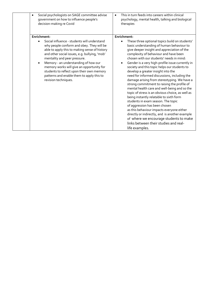| Social psychologists on SAGE committee advise<br>government on how to influence people's<br>decision-making re Covid                                                                                                                                                                                                                                                                                                                                                       | This in turn feeds into careers within clinical<br>$\bullet$<br>psychology, mental health, talking and biological<br>therapies                                                                                                                                                                                                                                                                                                                                                                                                                                                                                                                                                                                                                                                                                                                                                                                                                                                |
|----------------------------------------------------------------------------------------------------------------------------------------------------------------------------------------------------------------------------------------------------------------------------------------------------------------------------------------------------------------------------------------------------------------------------------------------------------------------------|-------------------------------------------------------------------------------------------------------------------------------------------------------------------------------------------------------------------------------------------------------------------------------------------------------------------------------------------------------------------------------------------------------------------------------------------------------------------------------------------------------------------------------------------------------------------------------------------------------------------------------------------------------------------------------------------------------------------------------------------------------------------------------------------------------------------------------------------------------------------------------------------------------------------------------------------------------------------------------|
| Enrichment:<br>Social influence - students will understand<br>$\bullet$<br>why people conform and obey. They will be<br>able to apply this to making sense of history<br>and other social issues, e.g. bullying, 'mob'<br>mentality and peer pressure.<br>Memory - an understanding of how our<br>$\bullet$<br>memory works will give an opportunity for<br>students to reflect upon their own memory<br>patterns and enable them to apply this to<br>revision techniques. | Enrichment:<br>These three optional topics build on students'<br>$\bullet$<br>basic understanding of human behaviour to<br>give deeper insight and appreciation of the<br>complexity of behaviour and have been<br>chosen with our students' needs in mind:<br>Gender is a very high-profile issue currently in<br>society and this topic helps our students to<br>develop a greater insight into the<br>need for informed discussions, including the<br>damage arising from stereotyping. We have a<br>strong commitment to raising the profile of<br>mental health care and well-being and so the<br>topic of stress is an obvious choice, as well as<br>being instantly relatable to sixth form<br>students in exam season. The topic<br>of aggression has been chosen<br>as this behaviour impacts everyone either<br>directly or indirectly, and is another example<br>of where we encourage students to make<br>links between their studies and real-<br>life examples. |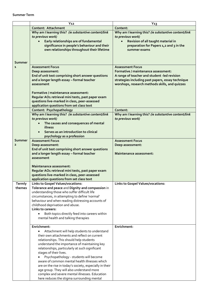**Summer Term**

|                | Y <sub>12</sub>                                                                                                                                                                                                    | $Y_13$                                                                                                                                                                                                                |
|----------------|--------------------------------------------------------------------------------------------------------------------------------------------------------------------------------------------------------------------|-----------------------------------------------------------------------------------------------------------------------------------------------------------------------------------------------------------------------|
|                | <b>Content: Attachment</b>                                                                                                                                                                                         | Content:                                                                                                                                                                                                              |
|                | Why am I learning this? (ie substantive content/link<br>to previous work)<br>Early relationships are of fundamental<br>significance in people's behaviour and their<br>own relationships throughout their lifetime | Why am I learning this? (ie substantive content/link<br>to previous work)<br>Revision of all taught material in<br>preparation for Papers 1,2 and 3 in the<br>summer exams                                            |
| Summer         |                                                                                                                                                                                                                    |                                                                                                                                                                                                                       |
| $\mathbf{1}$   | <b>Assessment Focus</b><br>Deep assessment:<br>End of unit test comprising short answer questions<br>and a longer length essay - formal teacher<br>assessment                                                      | <b>Assessment Focus</b><br>Formative / maintenance assessment:<br>A range of teacher and student -led revision<br>strategies including past papers, essay technique<br>worshops, research methods skills, and quizzes |
|                | Formative / maintenance assessment:<br>Regular AO1 retrieval mini tests, past paper exam<br>questions live-marked in class, peer-assessed<br>application questions from set class text                             |                                                                                                                                                                                                                       |
|                | Content: Psychopathology                                                                                                                                                                                           | Content:                                                                                                                                                                                                              |
|                | Why am I learning this? (ie substantive content/link<br>to previous work)<br>The causes and consequences of mental<br>illness                                                                                      | Why am I learning this? (ie substantive content/link<br>to previous work)                                                                                                                                             |
|                | Serves as an introduction to clinical<br>psychology as a profession                                                                                                                                                |                                                                                                                                                                                                                       |
| Summer         | <b>Assessment Focus</b>                                                                                                                                                                                            | <b>Assessment Focus</b>                                                                                                                                                                                               |
| $\overline{2}$ | Deep assessment:                                                                                                                                                                                                   | Deep assessment:                                                                                                                                                                                                      |
|                | End of unit test comprising short answer questions                                                                                                                                                                 |                                                                                                                                                                                                                       |
|                | and a longer length essay - formal teacher                                                                                                                                                                         | Maintenance assessment:                                                                                                                                                                                               |
|                | assessment                                                                                                                                                                                                         |                                                                                                                                                                                                                       |
|                |                                                                                                                                                                                                                    |                                                                                                                                                                                                                       |
|                | Maintenance assessment:                                                                                                                                                                                            |                                                                                                                                                                                                                       |
|                | Regular AO1 retrieval mini tests, past paper exam                                                                                                                                                                  |                                                                                                                                                                                                                       |
|                | questions live-marked in class, peer-assessed                                                                                                                                                                      |                                                                                                                                                                                                                       |
|                | application questions from set class text                                                                                                                                                                          |                                                                                                                                                                                                                       |
| Termly         | <b>Links to Gospel Values/vocations:</b>                                                                                                                                                                           | <b>Links to Gospel Values/vocations:</b>                                                                                                                                                                              |
| themes         | Tolerance and peace and Dignity and compassion in<br>understanding those who suffer difficult life                                                                                                                 |                                                                                                                                                                                                                       |
|                | circumstances, in attempting to define 'normal'                                                                                                                                                                    |                                                                                                                                                                                                                       |
|                | behaviour and when reading distressing accounts of                                                                                                                                                                 |                                                                                                                                                                                                                       |
|                | childhood deprivation and abuse.                                                                                                                                                                                   |                                                                                                                                                                                                                       |
|                | Links to careers:                                                                                                                                                                                                  |                                                                                                                                                                                                                       |
|                | Both topics directly feed into careers within                                                                                                                                                                      |                                                                                                                                                                                                                       |
|                | mental health and talking therapies                                                                                                                                                                                |                                                                                                                                                                                                                       |
|                |                                                                                                                                                                                                                    |                                                                                                                                                                                                                       |
|                | Enrichment:                                                                                                                                                                                                        | Enrichment:                                                                                                                                                                                                           |
|                | Attachment will help students to understand                                                                                                                                                                        |                                                                                                                                                                                                                       |
|                | their own attachments and reflect on current                                                                                                                                                                       |                                                                                                                                                                                                                       |
|                | relationships. This should help students                                                                                                                                                                           |                                                                                                                                                                                                                       |
|                | understand the importance of maintaining key                                                                                                                                                                       |                                                                                                                                                                                                                       |
|                | relationships, particularly at such significant<br>stages of their lives.                                                                                                                                          |                                                                                                                                                                                                                       |
|                | Psychopathology - students will become                                                                                                                                                                             |                                                                                                                                                                                                                       |
|                | aware of common mental health illnesses which                                                                                                                                                                      |                                                                                                                                                                                                                       |
|                | are on the rise in today's society, especially in their                                                                                                                                                            |                                                                                                                                                                                                                       |
|                | age group. They will also understand more                                                                                                                                                                          |                                                                                                                                                                                                                       |
|                | complex and severe mental illnesses. Education                                                                                                                                                                     |                                                                                                                                                                                                                       |
|                | here reduces the stigma surrounding mental                                                                                                                                                                         |                                                                                                                                                                                                                       |